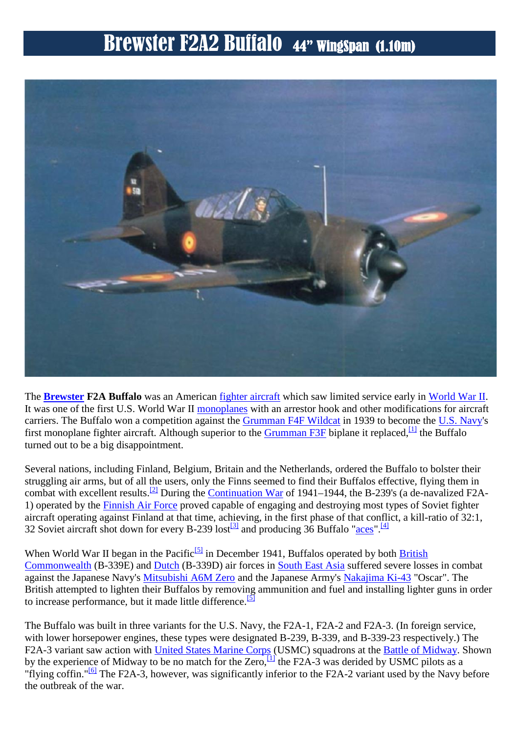

The **Brewster F2A Buffalo** was an American fighter aircraft which saw limited service early in World War II. It was one of the first U.S. World War II monoplanes with an arrestor hook and other modifications for aircraft carriers. The Buffalo won a competition against the Grumman F4F Wildcat in 1939 to become the U.S. Navy's first monoplane fighter aircraft. Although superior to the Grumman F3F biplane it replaced,  $\frac{1}{1}$  the Buffalo turned out to be a big disappointment.

Several nations, including Finland, Belgium, Britain and the Netherlands, ordered the Buffalo to bolster their struggling air arms, but of all the users, only the Finns seemed to find their Buffalos effective, flying them in combat with excellent results.[2] During the Continuation War of 1941–1944, the B-239's (a de-navalized F2A- 1) operated by the Finnish Air Force proved capable of engaging and destroying most types of Soviet fighter aircraft operating against Finland at that time, achieving, in the first phase of that conflict, a kill-ratio of 32:1, 32 Soviet aircraft shot down for every B-239 lost<sup>[3]</sup> and producing 36 Buffalo "aces".<sup>[4]</sup>

When World War II began in the Pacific<sup>[5]</sup> in December 1941, Buffalos operated by both British Commonwealth (B-339E) and Dutch (B-339D) air forces in South East Asia suffered severe losses in combat against the Japanese Navy's Mitsubishi A6M Zero and the Japanese Army's Nakajima Ki-43 "Oscar". The British attempted to lighten their Buffalos by removing ammunition and fuel and installing lighter guns in order to increase performance, but it made little difference.<sup>[5]</sup>

The Buffalo was built in three variants for the U.S. Navy, the F2A-1, F2A-2 and F2A-3. (In foreign service, with lower horsepower engines, these types were designated B-239, B-339, and B-339-23 respectively.) The F2A-3 variant saw action with United States Marine Corps (USMC) squadrons at the Battle of Midway. Shown by the experience of Midway to be no match for the Zero,  $\frac{11}{11}$  the F2A-3 was derided by USMC pilots as a "flying coffin."<sup>[6]</sup> The F2A-3, however, was significantly inferior to the F2A-2 variant used by the Navy before the outbreak of the war.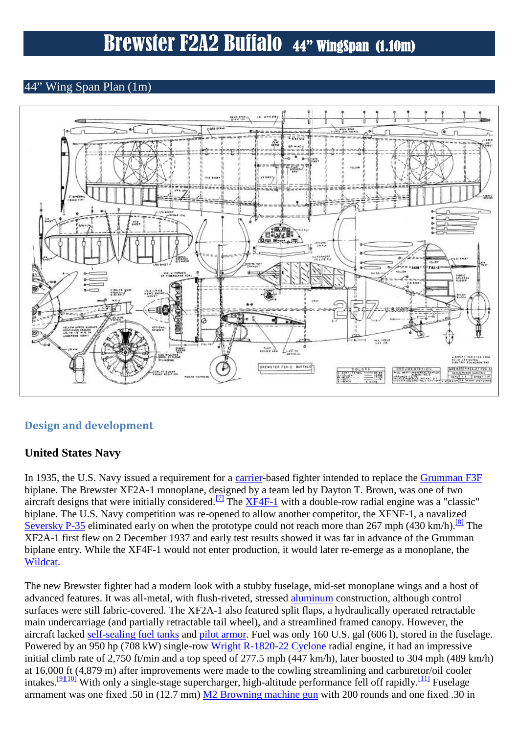### 44" Wing Span Plan (1m)



### **Design and development**

### **United States Navy**

In 1935, the U.S. Navy issued a requirement for a carrier-based fighter intended to replace the Grumman F3F biplane. The Brewster XF2A-1 monoplane, designed by a team led by Dayton T. Brown, was one of two aircraft designs that were initially considered.<sup>[7]</sup> The XF4F-1 with a double-row radial engine was a "classic" biplane. The U.S. Navy competition was re-opened to allow another competitor, the XFNF-1, a navalized Seversky P-35 eliminated early on when the prototype could not reach more than 267 mph (430 km/h).<sup>[8]</sup> The XF2A-1 first flew on 2 December 1937 and early test results showed it was far in advance of the Grumman biplane entry. While the XF4F-1 would not enter production, it would later re-emerge as a monoplane, the Wildcat.

The new Brewster fighter had a modern look with a stubby fuselage, mid-set monoplane wings and a host of advanced features. It was all-metal, with flush-riveted, stressed aluminum construction, although control surfaces were still fabric-covered. The XF2A-1 also featured split flaps, a hydraulically operated retractable main undercarriage (and partially retractable tail wheel), and a streamlined framed canopy. However, the aircraft lacked self-sealing fuel tanks and pilot armor. Fuel was only 160 U.S. gal (606 l), stored in the fuselage. Powered by an 950 hp (708 kW) single-row Wright R-1820-22 Cyclone radial engine, it had an impressive initial climb rate of 2,750 ft/min and a top speed of 277.5 mph (447 km/h), later boosted to 304 mph (489 km/h) at 16,000 ft (4,879 m) after improvements were made to the cowling streamlining and carburetor/oil cooler intakes.<sup>[9][10]</sup> With only a single-stage supercharger, high-altitude performance fell off rapidly.<sup>[11]</sup> Fuselage armament was one fixed .50 in (12.7 mm) M2 Browning machine gun with 200 rounds and one fixed .30 in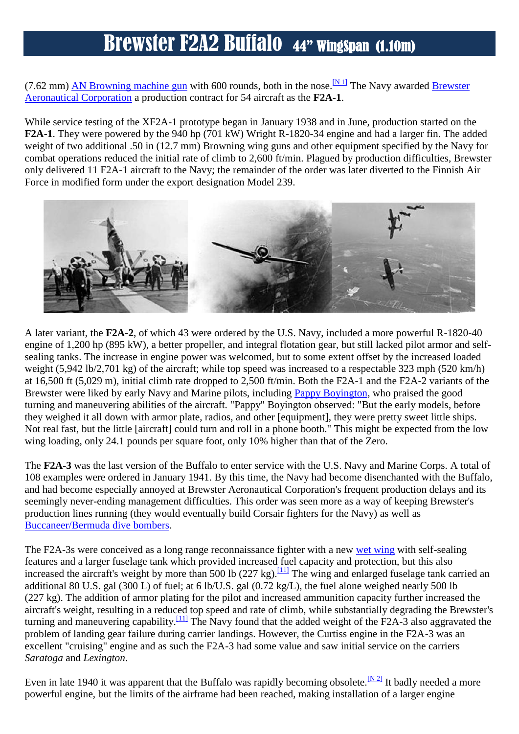(7.62 mm) AN Browning machine gun with 600 rounds, both in the nose.<sup>[N 1]</sup> The Navy awarded Brewster Aeronautical Corporation a production contract for 54 aircraft as the **F2A-1**.

While service testing of the XF2A-1 prototype began in January 1938 and in June, production started on the **F2A-1**. They were powered by the 940 hp (701 kW) Wright R-1820-34 engine and had a larger fin. The added weight of two additional .50 in (12.7 mm) Browning wing guns and other equipment specified by the Navy for combat operations reduced the initial rate of climb to 2,600 ft/min. Plagued by production difficulties, Brewster only delivered 11 F2A-1 aircraft to the Navy; the remainder of the order was later diverted to the Finnish Air Force in modified form under the export designation Model 239.



A later variant, the **F2A-2**, of which 43 were ordered by the U.S. Navy, included a more powerful R-1820-40 engine of 1,200 hp (895 kW), a better propeller, and integral flotation gear, but still lacked pilot armor and self sealing tanks. The increase in engine power was welcomed, but to some extent offset by the increased loaded weight (5,942 lb/2,701 kg) of the aircraft; while top speed was increased to a respectable 323 mph (520 km/h) at 16,500 ft (5,029 m), initial climb rate dropped to 2,500 ft/min. Both the F2A-1 and the F2A-2 variants of the Brewster were liked by early Navy and Marine pilots, including Pappy Boyington, who praised the good turning and maneuvering abilities of the aircraft. "Pappy" Boyington observed: "But the early models, before they weighed it all down with armor plate, radios, and other [equipment], they were pretty sweet little ships. Not real fast, but the little [aircraft] could turn and roll in a phone booth." This might be expected from the low wing loading, only 24.1 pounds per square foot, only 10% higher than that of the Zero.

The **F2A-3** was the last version of the Buffalo to enter service with the U.S. Navy and Marine Corps. A total of 108 examples were ordered in January 1941. By this time, the Navy had become disenchanted with the Buffalo, and had become especially annoyed at Brewster Aeronautical Corporation's frequent production delays and its seemingly never-ending management difficulties. This order was seen more as a way of keeping Brewster's production lines running (they would eventually build Corsair fighters for the Navy) as well as Buccaneer/Bermuda dive bombers.

The F2A-3s were conceived as a long range reconnaissance fighter with a new wet wing with self-sealing features and a larger fuselage tank which provided increased fuel capacity and protection, but this also increased the aircraft's weight by more than 500 lb (227 kg).<sup>[11]</sup> The wing and enlarged fuselage tank carried an additional 80 U.S. gal (300 L) of fuel; at 6 lb/U.S. gal (0.72 kg/L), the fuel alone weighed nearly 500 lb (227 kg). The addition of armor plating for the pilot and increased ammunition capacity further increased the aircraft's weight, resulting in a reduced top speed and rate of climb, while substantially degrading the Brewster's turning and maneuvering capability.<sup>[11]</sup> The Navy found that the added weight of the F2A-3 also aggravated the problem of landing gear failure during carrier landings. However, the Curtiss engine in the F2A-3 was an excellent "cruising" engine and as such the F2A-3 had some value and saw initial service on the carriers *Saratoga* and *Lexington*.

Even in late 1940 it was apparent that the Buffalo was rapidly becoming obsolete.  $\frac{N^2}{N}$  It badly needed a more powerful engine, but the limits of the airframe had been reached, making installation of a larger engine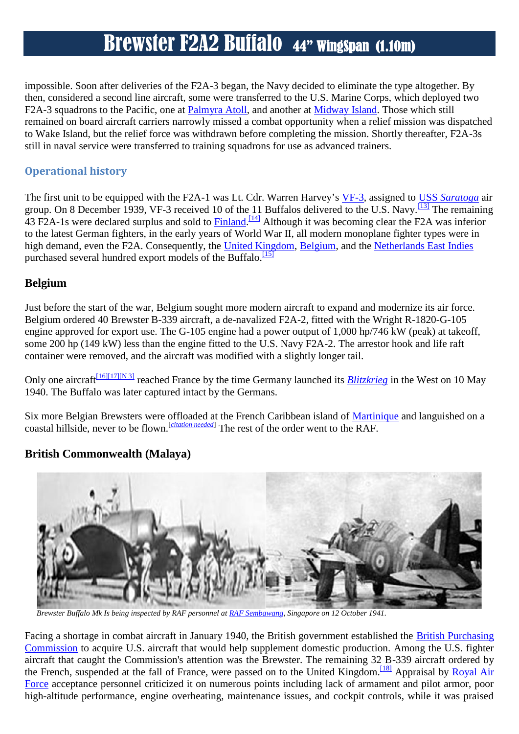impossible. Soon after deliveries of the F2A-3 began, the Navy decided to eliminate the type altogether. By then, considered a second line aircraft, some were transferred to the U.S. Marine Corps, which deployed two F2A-3 squadrons to the Pacific, one at Palmyra Atoll, and another at Midway Island. Those which still remained on board aircraft carriers narrowly missed a combat opportunity when a relief mission was dispatched to Wake Island, but the relief force was withdrawn before completing the mission. Shortly thereafter, F2A-3s still in naval service were transferred to training squadrons for use as advanced trainers.

### **Operational history**

The first unit to be equipped with the F2A-1 was Lt. Cdr. Warren Harvey's VF-3, assigned to USS *Saratoga* air group. On 8 December 1939, VF-3 received 10 of the 11 Buffalos delivered to the U.S. Navy.<sup>[13]</sup> The remaining 43 F2A-1s were declared surplus and sold to **Finland**. <sup>[14]</sup> Although it was becoming clear the F2A was inferior to the latest German fighters, in the early years of World War II, all modern monoplane fighter types were in high demand, even the F2A. Consequently, the United Kingdom, Belgium, and the Netherlands East Indies purchased several hundred export models of the Buffalo.<sup>[15]</sup>

### **Belgium**

Just before the start of the war, Belgium sought more modern aircraft to expand and modernize its air force. Belgium ordered 40 Brewster B-339 aircraft, a de-navalized F2A-2, fitted with the Wright R-1820-G-105 engine approved for export use. The G-105 engine had a power output of 1,000 hp/746 kW (peak) at takeoff, some 200 hp (149 kW) less than the engine fitted to the U.S. Navy F2A-2. The arrestor hook and life raft container were removed, and the aircraft was modified with a slightly longer tail.

Only one aircraft<sup>[16][17][N 3]</sup> reached France by the time Germany launched its *Blitzkrieg* in the West on 10 May 1940. The Buffalo was later captured intact by the Germans.

Six more Belgian Brewsters were offloaded at the French Caribbean island of Martinique and languished on a coastal hillside, never to be flown.<sup>[*citation needed*] The rest of the order went to the RAF.</sup>

### **British Commonwealth (Malaya)**



*Brewster Buffalo Mk Is being inspected by RAF personnel at RAF Sembawang, Singapore on 12 October 1941.*

Facing a shortage in combat aircraft in January 1940, the British government established the British Purchasing Commission to acquire U.S. aircraft that would help supplement domestic production. Among the U.S. fighter aircraft that caught the Commission's attention was the Brewster. The remaining 32 B-339 aircraft ordered by the French, suspended at the fall of France, were passed on to the United Kingdom.<sup>[18]</sup> Appraisal by Royal Air Force acceptance personnel criticized it on numerous points including lack of armament and pilot armor, poor high-altitude performance, engine overheating, maintenance issues, and cockpit controls, while it was praised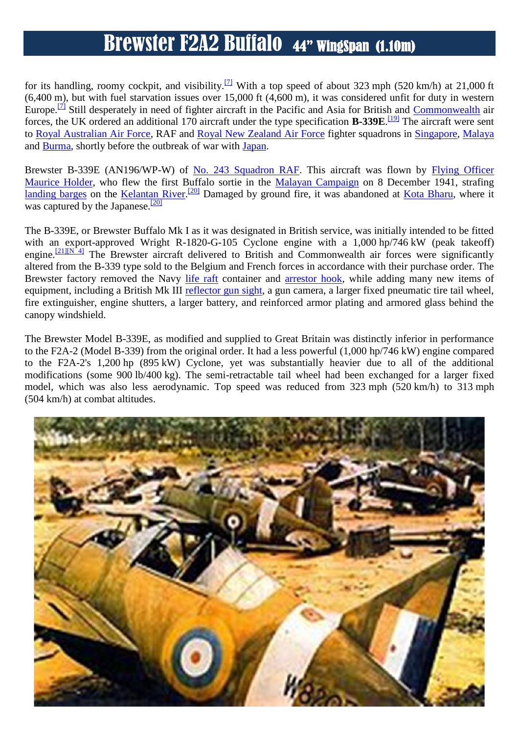for its handling, roomy cockpit, and visibility.[7] With a top speed of about 323 mph (520 km/h) at 21,000 ft  $(6,400 \text{ m})$ , but with fuel starvation issues over 15,000 ft  $(4,600 \text{ m})$ , it was considered unfit for duty in western Europe.<sup>[7]</sup> Still desperately in need of fighter aircraft in the Pacific and Asia for British and Commonwealth air forces, the UK ordered an additional 170 aircraft under the type specification **B-339E**. [19] The aircraft were sent to Royal Australian Air Force, RAF and Royal New Zealand Air Force fighter squadrons in Singapore, Malaya and Burma, shortly before the outbreak of war with Japan.

Brewster B-339E (AN196/WP-W) of No. 243 Squadron RAF. This aircraft was flown by Flying Officer Maurice Holder, who flew the first Buffalo sortie in the Malayan Campaign on 8 December 1941, strafing landing barges on the Kelantan River.<sup>[20]</sup> Damaged by ground fire, it was abandoned at Kota Bharu, where it was captured by the Japanese. $\frac{[20]}{[20]}$ 

The B-339E, or Brewster Buffalo Mk I as it was designated in British service, was initially intended to be fitted with an export-approved Wright R-1820-G-105 Cyclone engine with a 1,000 hp/746 kW (peak takeoff) engine.<sup>[21][N 4]</sup> The Brewster aircraft delivered to British and Commonwealth air forces were significantly altered from the B-339 type sold to the Belgium and French forces in accordance with their purchase order. The Brewster factory removed the Navy life raft container and arrestor hook, while adding many new items of equipment, including a British Mk III reflector gun sight, a gun camera, a larger fixed pneumatic tire tail wheel, fire extinguisher, engine shutters, a larger battery, and reinforced armor plating and armored glass behind the canopy windshield.

The Brewster Model B-339E, as modified and supplied to Great Britain was distinctly inferior in performance to the F2A-2 (Model B-339) from the original order. It had a less powerful (1,000 hp/746 kW) engine compared to the F2A-2's 1,200 hp (895 kW) Cyclone, yet was substantially heavier due to all of the additional modifications (some 900 lb/400 kg). The semi-retractable tail wheel had been exchanged for a larger fixed model, which was also less aerodynamic. Top speed was reduced from 323 mph (520 km/h) to 313 mph (504 km/h) at combat altitudes.

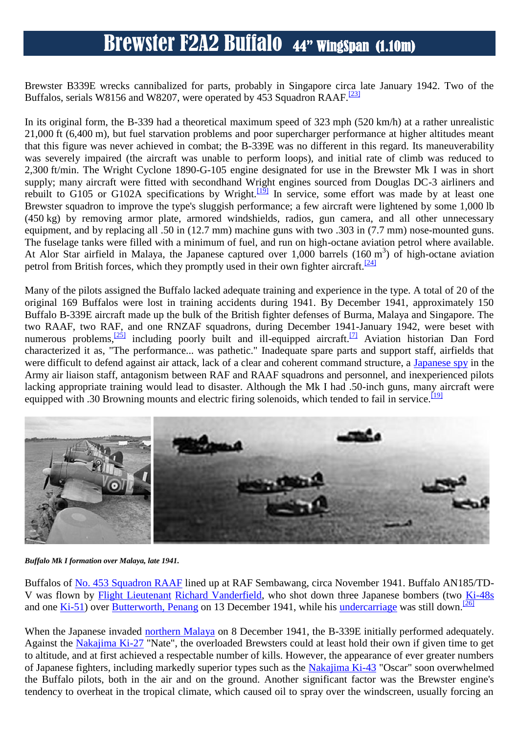Brewster B339E wrecks cannibalized for parts, probably in Singapore circa late January 1942. Two of the Buffalos, serials W8156 and W8207, were operated by 453 Squadron RAAF.<sup>[23]</sup>

In its original form, the B-339 had a theoretical maximum speed of 323 mph (520 km/h) at a rather unrealistic 21,000 ft (6,400 m), but fuel starvation problems and poor supercharger performance at higher altitudes meant that this figure was never achieved in combat; the B-339E was no different in this regard. Its maneuverability was severely impaired (the aircraft was unable to perform loops), and initial rate of climb was reduced to 2,300 ft/min. The Wright Cyclone 1890-G-105 engine designated for use in the Brewster Mk I was in short supply; many aircraft were fitted with secondhand Wright engines sourced from Douglas DC-3 airliners and rebuilt to G105 or G102A specifications by Wright.<sup>[19]</sup> In service, some effort was made by at least one Brewster squadron to improve the type's sluggish performance; a few aircraft were lightened by some 1,000 lb (450 kg) by removing armor plate, armored windshields, radios, gun camera, and all other unnecessary equipment, and by replacing all .50 in (12.7 mm) machine guns with two .303 in (7.7 mm) nose-mounted guns. The fuselage tanks were filled with a minimum of fuel, and run on high-octane aviation petrol where available. At Alor Star airfield in Malaya, the Japanese captured over 1,000 barrels  $(160 \text{ m}^3)$  of high-octane aviation petrol from British forces, which they promptly used in their own fighter aircraft.<sup>[24]</sup>

Many of the pilots assigned the Buffalo lacked adequate training and experience in the type. A total of 20 of the original 169 Buffalos were lost in training accidents during 1941. By December 1941, approximately 150 Buffalo B-339E aircraft made up the bulk of the British fighter defenses of Burma, Malaya and Singapore. The two RAAF, two RAF, and one RNZAF squadrons, during December 1941-January 1942, were beset with numerous problems,<sup>[25]</sup> including poorly built and ill-equipped aircraft.<sup>[7]</sup> Aviation historian Dan Ford characterized it as, "The performance... was pathetic." Inadequate spare parts and support staff, airfields that were difficult to defend against air attack, lack of a clear and coherent command structure, a Japanese spy in the Army air liaison staff, antagonism between RAF and RAAF squadrons and personnel, and inexperienced pilots lacking appropriate training would lead to disaster. Although the Mk I had .50-inch guns, many aircraft were equipped with .30 Browning mounts and electric firing solenoids, which tended to fail in service.<sup>[19]</sup>



*Buffalo Mk I formation over Malaya, late 1941.*

Buffalos of No. 453 Squadron RAAF lined up at RAF Sembawang, circa November 1941. Buffalo AN185/TD- V was flown by Flight Lieutenant Richard Vanderfield, who shot down three Japanese bombers (two Ki-48s and one  $\overline{Ki-51}$  over Butterworth, Penang on 13 December 1941, while his undercarriage was still down.<sup>[26]</sup>

When the Japanese invaded **northern Malaya** on 8 December 1941, the B-339E initially performed adequately. Against the Nakajima Ki-27 "Nate", the overloaded Brewsters could at least hold their own if given time to get to altitude, and at first achieved a respectable number of kills. However, the appearance of ever greater numbers of Japanese fighters, including markedly superior types such as the Nakajima Ki-43 "Oscar" soon overwhelmed the Buffalo pilots, both in the air and on the ground. Another significant factor was the Brewster engine's tendency to overheat in the tropical climate, which caused oil to spray over the windscreen, usually forcing an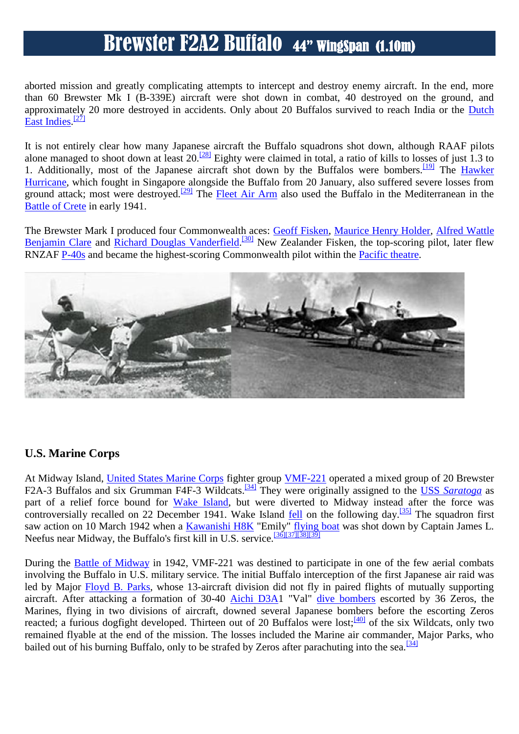aborted mission and greatly complicating attempts to intercept and destroy enemy aircraft. In the end, more than 60 Brewster Mk I (B-339E) aircraft were shot down in combat, 40 destroyed on the ground, and approximately 20 more destroyed in accidents. Only about 20 Buffalos survived to reach India or the Dutch East Indies.<sup>[27]</sup>

It is not entirely clear how many Japanese aircraft the Buffalo squadrons shot down, although RAAF pilots alone managed to shoot down at least  $20$ .<sup>[28]</sup> Eighty were claimed in total, a ratio of kills to losses of just 1.3 to 1. Additionally, most of the Japanese aircraft shot down by the Buffalos were bombers.<sup>[19]</sup> The *Hawker* Hurricane, which fought in Singapore alongside the Buffalo from 20 January, also suffered severe losses from ground attack; most were destroyed.<sup>[29]</sup> The Fleet Air Arm also used the Buffalo in the Mediterranean in the Battle of Crete in early 1941.

The Brewster Mark I produced four Commonwealth aces: **Geoff Fisken, Maurice Henry Holder, Alfred Wattle** Benjamin Clare and Richard Douglas Vanderfield.<sup>[30]</sup> New Zealander Fisken, the top-scoring pilot, later flew RNZAF P-40s and became the highest-scoring Commonwealth pilot within the Pacific theatre.



### **U.S. Marine Corps**

At Midway Island, *United States Marine Corps* fighter group *VMF-221* operated a mixed group of 20 Brewster F2A-3 Buffalos and six Grumman F4F-3 Wildcats.<sup>[34]</sup> They were originally assigned to the USS Saratoga as part of a relief force bound for Wake Island, but were diverted to Midway instead after the force was controversially recalled on 22 December 1941. Wake Island fell on the following day.<sup>[35]</sup> The squadron first saw action on 10 March 1942 when a Kawanishi H8K "Emily" flying boat was shot down by Captain James L. Neefus near Midway, the Buffalo's first kill in U.S. service.<sup>[36][37][38][39]</sup>

During the Battle of Midway in 1942, VMF-221 was destined to participate in one of the few aerial combats involving the Buffalo in U.S. military service. The initial Buffalo interception of the first Japanese air raid was led by Major Floyd B. Parks, whose 13-aircraft division did not fly in paired flights of mutually supporting aircraft. After attacking a formation of 30-40 Aichi D3A1 "Val" dive bombers escorted by 36 Zeros, the Marines, flying in two divisions of aircraft, downed several Japanese bombers before the escorting Zeros reacted; a furious dogfight developed. Thirteen out of 20 Buffalos were lost;<sup>[40]</sup> of the six Wildcats, only two remained flyable at the end of the mission. The losses included the Marine air commander, Major Parks, who bailed out of his burning Buffalo, only to be strafed by Zeros after parachuting into the sea.<sup>[34]</sup>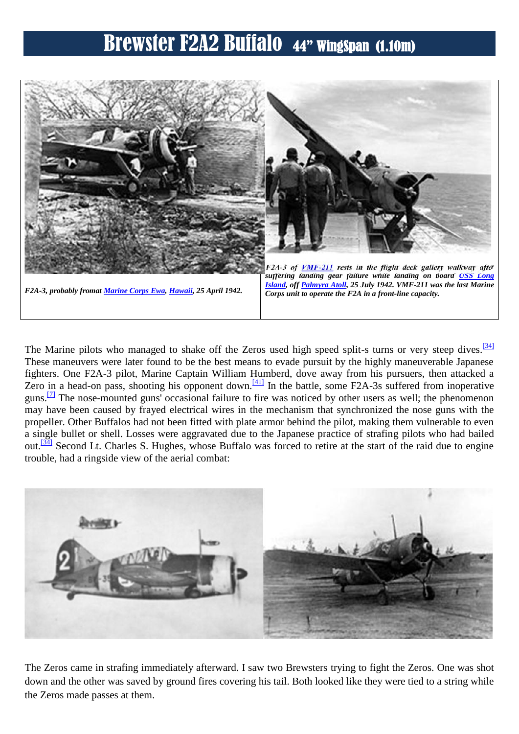

The Marine pilots who managed to shake off the Zeros used high speed split-s turns or very steep dives.<sup>[34]</sup> These maneuvers were later found to be the best means to evade pursuit by the highly maneuverable Japanese fighters. One F2A-3 pilot, Marine Captain William Humberd, dove away from his pursuers, then attacked a Zero in a head-on pass, shooting his opponent down.<sup>[41]</sup> In the battle, some F2A-3s suffered from inoperative guns.<sup>[7]</sup> The nose-mounted guns' occasional failure to fire was noticed by other users as well; the phenomenon may have been caused by frayed electrical wires in the mechanism that synchronized the nose guns with the propeller. Other Buffalos had not been fitted with plate armor behind the pilot, making them vulnerable to even a single bullet or shell. Losses were aggravated due to the Japanese practice of strafing pilots who had bailed out.<sup>[34]</sup> Second Lt. Charles S. Hughes, whose Buffalo was forced to retire at the start of the raid due to engine trouble, had a ringside view of the aerial combat:



The Zeros came in strafing immediately afterward. I saw two Brewsters trying to fight the Zeros. One was shot down and the other was saved by ground fires covering his tail. Both looked like they were tied to a string while the Zeros made passes at them.